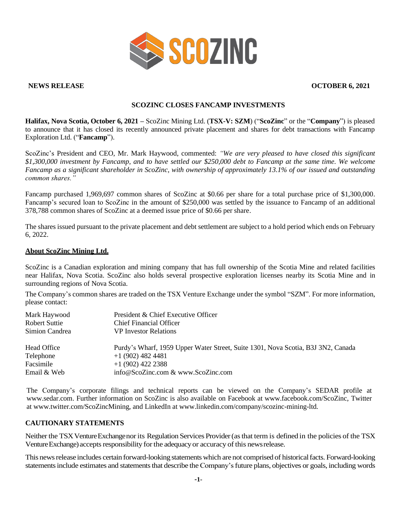

## **NEWS RELEASE OCTOBER 6, 2021**

# **SCOZINC CLOSES FANCAMP INVESTMENTS**

**Halifax, Nova Scotia, October 6, 2021 –** ScoZinc Mining Ltd. (**TSX-V: SZM**) ("**ScoZinc**" or the "**Company**") is pleased to announce that it has closed its recently announced private placement and shares for debt transactions with Fancamp Exploration Ltd. ("**Fancamp**").

ScoZinc's President and CEO, Mr. Mark Haywood, commented: *"We are very pleased to have closed this significant \$1,300,000 investment by Fancamp, and to have settled our \$250,000 debt to Fancamp at the same time. We welcome Fancamp as a significant shareholder in ScoZinc, with ownership of approximately 13.1% of our issued and outstanding common shares."*

Fancamp purchased 1,969,697 common shares of ScoZinc at \$0.66 per share for a total purchase price of \$1,300,000. Fancamp's secured loan to ScoZinc in the amount of \$250,000 was settled by the issuance to Fancamp of an additional 378,788 common shares of ScoZinc at a deemed issue price of \$0.66 per share.

The shares issued pursuant to the private placement and debt settlement are subject to a hold period which ends on February 6, 2022.

## **About ScoZinc Mining Ltd.**

ScoZinc is a Canadian exploration and mining company that has full ownership of the Scotia Mine and related facilities near Halifax, Nova Scotia. ScoZinc also holds several prospective exploration licenses nearby its Scotia Mine and in surrounding regions of Nova Scotia.

The Company's common shares are traded on the TSX Venture Exchange under the symbol "SZM". For more information, please contact:

| Mark Haywood<br>Robert Suttie<br>Simion Candrea | President & Chief Executive Officer<br><b>Chief Financial Officer</b><br><b>VP</b> Investor Relations |
|-------------------------------------------------|-------------------------------------------------------------------------------------------------------|
| Head Office                                     | Purdy's Wharf, 1959 Upper Water Street, Suite 1301, Nova Scotia, B3J 3N2, Canada                      |
| Telephone                                       | $+1(902)$ 482 4481                                                                                    |
| Facsimile                                       | $+1$ (902) 422 2388                                                                                   |
| Email & Web                                     | info@ScoZinc.com & www.ScoZinc.com                                                                    |

The Company's corporate filings and technical reports can be viewed on the Company's SEDAR profile at [www.sedar.com.](http://www.sedar.com/) Further information on ScoZinc is also available on Facebook at [www.facebook.com/ScoZinc,](http://www.facebook.com/ScoZinc) Twitter at [www.twitter.com/ScoZincMining,](http://www.twitter.com/ScoZincMining) and LinkedIn at [www.linkedin.com/company/scozinc-mining-ltd.](http://www.linkedin.com/company/scozinc-mining-ltd)

# **CAUTIONARY STATEMENTS**

Neither the TSX Venture Exchange nor its Regulation Services Provider (as that term is defined in the policies of the TSX Venture Exchange) accepts responsibility for the adequacy or accuracy of this news release.

This news release includes certain forward-looking statements which are not comprised of historical facts. Forward-looking statements include estimates and statements that describe the Company's future plans, objectives or goals, including words